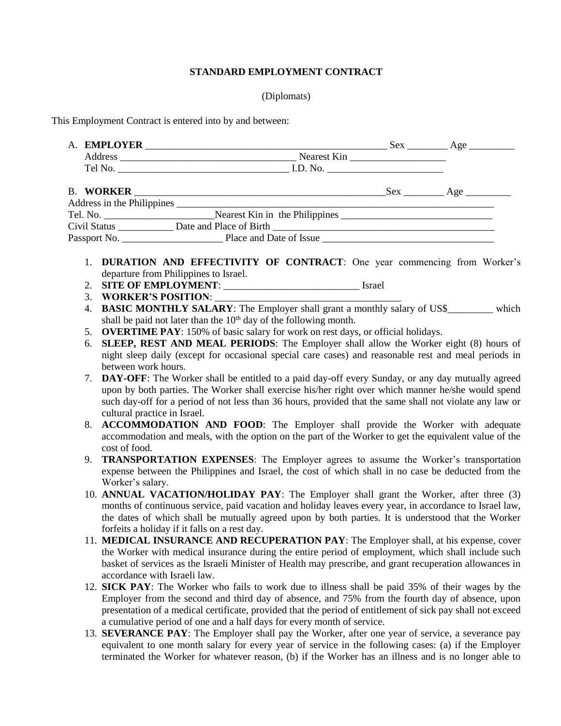## **STANDARD EMPLOYMENT CONTRACT**

## (Diplomats)

This Employment Contract is entered into by and between:

|                                                                                     |  | Sex ___________ Age ____________      |  |
|-------------------------------------------------------------------------------------|--|---------------------------------------|--|
| Nearest Kin                                                                         |  |                                       |  |
|                                                                                     |  |                                       |  |
|                                                                                     |  | $Sex \_\_\_\_ \ \text{Age} \_\_\_\_\$ |  |
|                                                                                     |  |                                       |  |
| Tel. No. Nearest Kin in the Philippines Nearest Kin in the Philippines Nearly 1999. |  |                                       |  |
|                                                                                     |  |                                       |  |
|                                                                                     |  |                                       |  |

- 1. **DURATION AND EFFECTIVITY OF CONTRACT**: One year commencing from Worker's departure from Philippines to Israel.
- 2. **SITE OF EMPLOYMENT**: \_\_\_\_\_\_\_\_\_\_\_\_\_\_\_\_\_\_\_\_\_\_\_\_\_\_\_ Israel
- 3. **WORKER'S POSITION:**
- 4. **BASIC MONTHLY SALARY**: The Employer shall grant a monthly salary of US\$ which shall be paid not later than the  $10<sup>th</sup>$  day of the following month.
- 5. **OVERTIME PAY**: 150% of basic salary for work on rest days, or official holidays.
- 6. **SLEEP, REST AND MEAL PERIODS**: The Employer shall allow the Worker eight (8) hours of night sleep daily (except for occasional special care cases) and reasonable rest and meal periods in between work hours.
- 7. **DAY-OFF**: The Worker shall be entitled to a paid day-off every Sunday, or any day mutually agreed upon by both parties. The Worker shall exercise his/her right over which manner he/she would spend such day-off for a period of not less than 36 hours, provided that the same shall not violate any law or cultural practice in Israel.
- 8. **ACCOMMODATION AND FOOD**: The Employer shall provide the Worker with adequate accommodation and meals, with the option on the part of the Worker to get the equivalent value of the cost of food.
- 9. **TRANSPORTATION EXPENSES**: The Employer agrees to assume the Worker's transportation expense between the Philippines and Israel, the cost of which shall in no case be deducted from the Worker's salary.
- 10. **ANNUAL VACATION/HOLIDAY PAY**: The Employer shall grant the Worker, after three (3) months of continuous service, paid vacation and holiday leaves every year, in accordance to Israel law, the dates of which shall be mutually agreed upon by both parties. It is understood that the Worker forfeits a holiday if it falls on a rest day.
- 11. **MEDICAL INSURANCE AND RECUPERATION PAY**: The Employer shall, at his expense, cover the Worker with medical insurance during the entire period of employment, which shall include such basket of services as the Israeli Minister of Health may prescribe, and grant recuperation allowances in accordance with Israeli law.
- 12. **SICK PAY**: The Worker who fails to work due to illness shall be paid 35% of their wages by the Employer from the second and third day of absence, and 75% from the fourth day of absence, upon presentation of a medical certificate, provided that the period of entitlement of sick pay shall not exceed a cumulative period of one and a half days for every month of service.
- 13. **SEVERANCE PAY**: The Employer shall pay the Worker, after one year of service, a severance pay equivalent to one month salary for every year of service in the following cases: (a) if the Employer terminated the Worker for whatever reason, (b) if the Worker has an illness and is no longer able to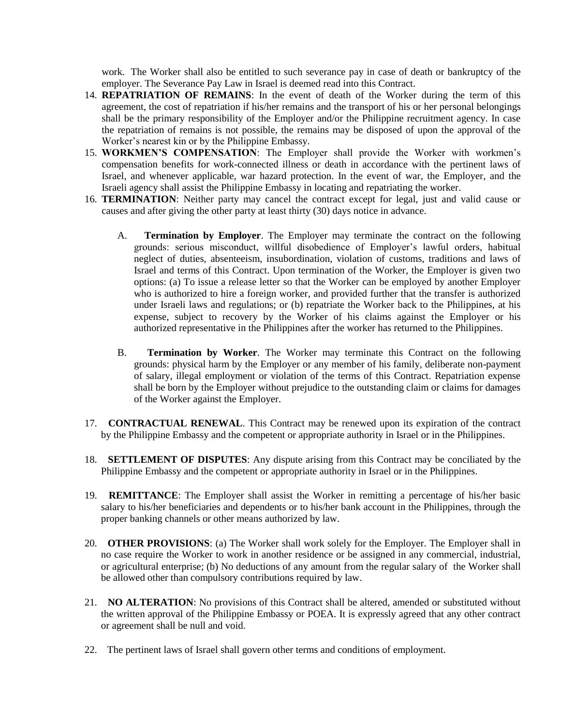work. The Worker shall also be entitled to such severance pay in case of death or bankruptcy of the employer. The Severance Pay Law in Israel is deemed read into this Contract.

- 14. **REPATRIATION OF REMAINS**: In the event of death of the Worker during the term of this agreement, the cost of repatriation if his/her remains and the transport of his or her personal belongings shall be the primary responsibility of the Employer and/or the Philippine recruitment agency. In case the repatriation of remains is not possible, the remains may be disposed of upon the approval of the Worker's nearest kin or by the Philippine Embassy.
- 15. **WORKMEN'S COMPENSATION**: The Employer shall provide the Worker with workmen's compensation benefits for work-connected illness or death in accordance with the pertinent laws of Israel, and whenever applicable, war hazard protection. In the event of war, the Employer, and the Israeli agency shall assist the Philippine Embassy in locating and repatriating the worker.
- 16. **TERMINATION**: Neither party may cancel the contract except for legal, just and valid cause or causes and after giving the other party at least thirty (30) days notice in advance.
	- A. **Termination by Employer**. The Employer may terminate the contract on the following grounds: serious misconduct, willful disobedience of Employer's lawful orders, habitual neglect of duties, absenteeism, insubordination, violation of customs, traditions and laws of Israel and terms of this Contract. Upon termination of the Worker, the Employer is given two options: (a) To issue a release letter so that the Worker can be employed by another Employer who is authorized to hire a foreign worker, and provided further that the transfer is authorized under Israeli laws and regulations; or (b) repatriate the Worker back to the Philippines, at his expense, subject to recovery by the Worker of his claims against the Employer or his authorized representative in the Philippines after the worker has returned to the Philippines.
	- B. **Termination by Worker**. The Worker may terminate this Contract on the following grounds: physical harm by the Employer or any member of his family, deliberate non-payment of salary, illegal employment or violation of the terms of this Contract. Repatriation expense shall be born by the Employer without prejudice to the outstanding claim or claims for damages of the Worker against the Employer.
- 17. **CONTRACTUAL RENEWAL**. This Contract may be renewed upon its expiration of the contract by the Philippine Embassy and the competent or appropriate authority in Israel or in the Philippines.
- 18. **SETTLEMENT OF DISPUTES**: Any dispute arising from this Contract may be conciliated by the Philippine Embassy and the competent or appropriate authority in Israel or in the Philippines.
- 19. **REMITTANCE**: The Employer shall assist the Worker in remitting a percentage of his/her basic salary to his/her beneficiaries and dependents or to his/her bank account in the Philippines, through the proper banking channels or other means authorized by law.
- 20. **OTHER PROVISIONS**: (a) The Worker shall work solely for the Employer. The Employer shall in no case require the Worker to work in another residence or be assigned in any commercial, industrial, or agricultural enterprise; (b) No deductions of any amount from the regular salary of the Worker shall be allowed other than compulsory contributions required by law.
- 21. **NO ALTERATION**: No provisions of this Contract shall be altered, amended or substituted without the written approval of the Philippine Embassy or POEA. It is expressly agreed that any other contract or agreement shall be null and void.
- 22. The pertinent laws of Israel shall govern other terms and conditions of employment.